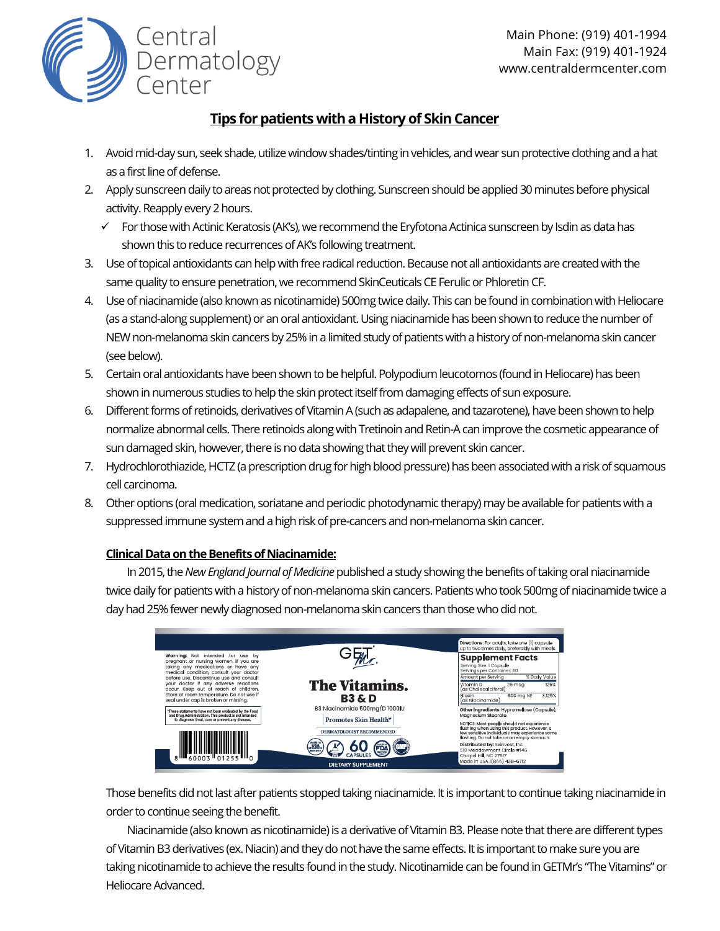

## **Tips for patients with a History of Skin Cancer**

- 1. Avoid mid-day sun, seek shade, utilize window shades/tinting in vehicles, and wear sun protective clothing and a hat as a first line of defense.
- 2. Apply sunscreen daily to areas not protected by clothing. Sunscreen should be applied 30 minutes before physical activity. Reapply every 2 hours.
	- ✓ For those with Actinic Keratosis (AK's), we recommend the Eryfotona Actinica sunscreen by Isdin as data has shown this to reduce recurrences of AK's following treatment.
- 3. Use of topical antioxidants can help with free radical reduction. Because not all antioxidants are created with the same quality to ensure penetration, we recommend SkinCeuticals CE Ferulic or Phloretin CF.
- 4. Use of niacinamide (also known as nicotinamide) 500mg twice daily. This can be found in combination with Heliocare (as a stand-along supplement) or an oral antioxidant. Using niacinamide has been shown to reduce the number of NEW non-melanoma skin cancers by 25% in a limited study of patients with a history of non-melanoma skin cancer (see below).
- 5. Certain oral antioxidants have been shown to be helpful. Polypodium leucotomos (found in Heliocare) has been shown in numerous studies to help the skin protect itself from damaging effects of sun exposure.
- 6. Different forms of retinoids, derivatives of Vitamin A (such as adapalene, and tazarotene), have been shown to help normalize abnormal cells. There retinoids along with Tretinoin and Retin-A can improve the cosmetic appearance of sun damaged skin, however, there is no data showing that they will prevent skin cancer.
- 7. Hydrochlorothiazide, HCTZ (a prescription drug for high blood pressure) has been associated with a risk of squamous cell carcinoma.
- 8. Other options (oral medication, soriatane and periodic photodynamic therapy) may be available for patients with a suppressed immune system and a high risk of pre-cancers and non-melanoma skin cancer.

## **Clinical Dataon the Benefits of Niacinamide:**

Central

Dermatology<br>Center

In 2015, the *New England Journal of Medicine* published a study showing the benefits of taking oral niacinamide twice daily for patients with a history of non-melanoma skin cancers. Patients who took 500mg of niacinamide twice a day had 25% fewer newly diagnosed non-melanoma skin cancers than those who did not.



Those benefits did not last after patients stopped taking niacinamide. It is important to continue taking niacinamide in order to continue seeing the benefit.

Niacinamide (also known as nicotinamide) is a derivative of Vitamin B3. Please note that there are different types of Vitamin B3 derivatives (ex. Niacin) and they do not have the same effects. It is important to make sure you are taking nicotinamide to achieve the results found in the study. Nicotinamide can be found in GETMr's "The Vitamins" or Heliocare Advanced.